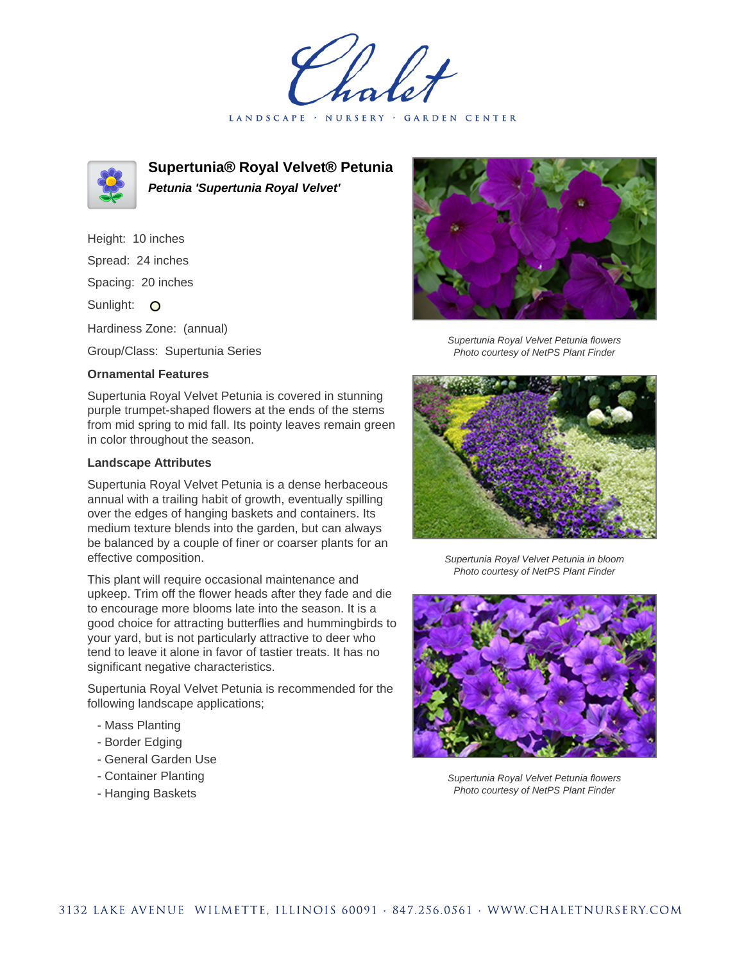LANDSCAPE · NURSERY · GARDEN CENTER



**Supertunia® Royal Velvet® Petunia Petunia 'Supertunia Royal Velvet'**

Height: 10 inches Spread: 24 inches Spacing: 20 inches Sunlight: O Hardiness Zone: (annual)

Group/Class: Supertunia Series

## **Ornamental Features**

Supertunia Royal Velvet Petunia is covered in stunning purple trumpet-shaped flowers at the ends of the stems from mid spring to mid fall. Its pointy leaves remain green in color throughout the season.

## **Landscape Attributes**

Supertunia Royal Velvet Petunia is a dense herbaceous annual with a trailing habit of growth, eventually spilling over the edges of hanging baskets and containers. Its medium texture blends into the garden, but can always be balanced by a couple of finer or coarser plants for an effective composition.

This plant will require occasional maintenance and upkeep. Trim off the flower heads after they fade and die to encourage more blooms late into the season. It is a good choice for attracting butterflies and hummingbirds to your yard, but is not particularly attractive to deer who tend to leave it alone in favor of tastier treats. It has no significant negative characteristics.

Supertunia Royal Velvet Petunia is recommended for the following landscape applications;

- Mass Planting
- Border Edging
- General Garden Use
- Container Planting
- Hanging Baskets



Supertunia Royal Velvet Petunia flowers Photo courtesy of NetPS Plant Finder



Supertunia Royal Velvet Petunia in bloom Photo courtesy of NetPS Plant Finder



Supertunia Royal Velvet Petunia flowers Photo courtesy of NetPS Plant Finder